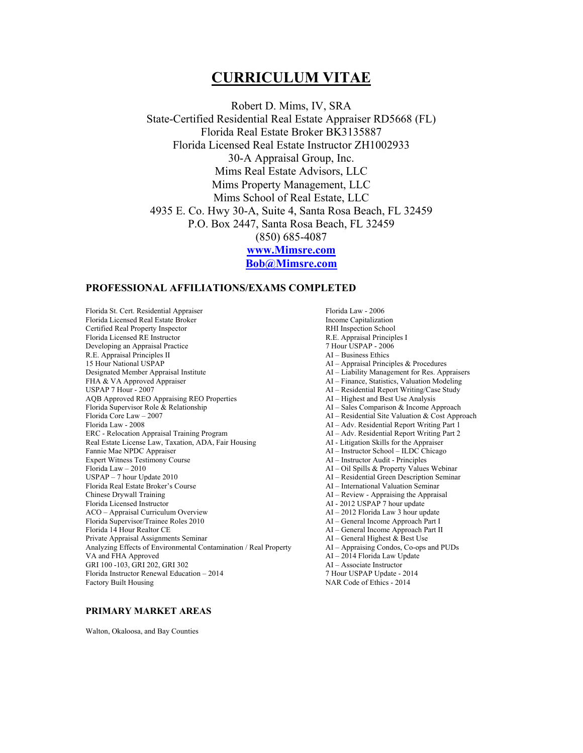# **CURRICULUM VITAE**

Robert D. Mims, IV, SRA State-Certified Residential Real Estate Appraiser RD5668 (FL) Florida Real Estate Broker BK3135887 Florida Licensed Real Estate Instructor ZH1002933 30-A Appraisal Group, Inc. Mims Real Estate Advisors, LLC Mims Property Management, LLC Mims School of Real Estate, LLC 4935 E. Co. Hwy 30-A, Suite 4, Santa Rosa Beach, FL 32459 P.O. Box 2447, Santa Rosa Beach, FL 32459 (850) 685-4087 **www.Mimsre.com Bob@Mimsre.com**

# **PROFESSIONAL AFFILIATIONS/EXAMS COMPLETED**

Florida St. Cert. Residential Appraiser<br>Florida Licensed Real Estate Broker Florida Law - 2006<br>Income Capitalization Florida Licensed Real Estate Broker and the Secret of the Income Capitalization<br>
Certified Real Property Inspector and the Secret Certified Real Property Inspection Certified Real Property Inspector **Example 2** RHI Inspection School Florida Licensed RE Instructor **R.E.** Appraisal Principles I Florida Licensed RE Instructor Developing an Appraisal Practice 7 Hour USPAP - 2006<br>
R.E. Appraisal Principles II and the Second Contract AI - Business Ethics R.E. Appraisal Principles II 15 Hour National USPAP <br>
Designated Member Appraisal Institute AI – Appraisal Principles & Procedures<br>
AI – Liability Management for Res. Appr FHA & VA Approved Appraiser<br>
USPAP 7 Hour - 2007 AQB Approved REO Appraising REO Properties AI – Highest and Best Use Analysis<br>Florida Supervisor Role & Relationship AI – Sales Comparison & Income A Florida Core Law – 2007 AI – Residential Site Valuation & Cost Approach ERC - Relocation Appraisal Training Program Real Estate License Law, Taxation, ADA, Fair Housing AI - Litigation Skills for the Appraiser Fannie Mae NPDC Appraiser and the Chicago Chicago AI – Instructor School – ILDC Chicago AI – Instructor School – ILDC Chicago AI – Instructor Audit - Principles Expert Witness Testimony Course Florida Law – 2010 AI – Oil Spills & Property Values Webinar Florida Real Estate Broker's Course Chinese Drywall Training AI – Review - Appraising the Appraisal Florida Licensed Instructor<br>
ACO – Appraisal Curriculum Overview<br>
AI – 2012 Florida Law 3 hour update ACO – Appraisal Curriculum Overview Florida Supervisor/Trainee Roles 2010 AI – General Income Approach Part I Private Appraisal Assignments Seminar AI – General Highest & Best Use Analyzing Effects of Environmental Contamination / Real Property  $\Delta I -$  Appraising Condos, Co-ops and PUDs VA and FHA Approved  $\Delta I - 2014$  Florida Law Update GRI 100 -103, GRI 202, GRI 302<br>
Florida Instructor Renewal Education – 2014 **Alta 2014** 7 Hour USPAP Update - 2014 Florida Instructor Renewal Education – 2014<br>Factory Built Housing

AI – Liability Management for Res. Appraisers AI – Residential Report Writing/Case Study  $AI - Sales Comparison & Income Approach$ AI – Adv. Residential Report Writing Part 1<br>AI – Adv. Residential Report Writing Part 2 AI – Residential Green Description Seminar<br>AI – International Valuation Seminar AI – General Income Approach Part II AI – 2014 Florida Law Update<br>AI – Associate Instructor NAR Code of Ethics - 2014

# **PRIMARY MARKET AREAS**

Walton, Okaloosa, and Bay Counties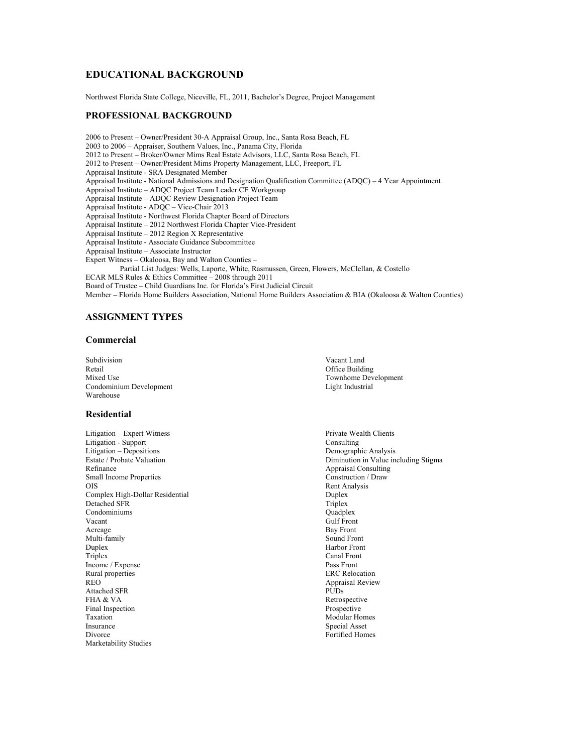# **EDUCATIONAL BACKGROUND**

Northwest Florida State College, Niceville, FL, 2011, Bachelor's Degree, Project Management

## **PROFESSIONAL BACKGROUND**

2006 to Present – Owner/President 30-A Appraisal Group, Inc., Santa Rosa Beach, FL 2003 to 2006 – Appraiser, Southern Values, Inc., Panama City, Florida 2012 to Present – Broker/Owner Mims Real Estate Advisors, LLC, Santa Rosa Beach, FL 2012 to Present – Owner/President Mims Property Management, LLC, Freeport, FL Appraisal Institute - SRA Designated Member Appraisal Institute - National Admissions and Designation Qualification Committee (ADQC) – 4 Year Appointment Appraisal Institute – ADQC Project Team Leader CE Workgroup Appraisal Institute – ADQC Review Designation Project Team Appraisal Institute - ADQC – Vice-Chair 2013 Appraisal Institute - Northwest Florida Chapter Board of Directors Appraisal Institute – 2012 Northwest Florida Chapter Vice-President Appraisal Institute – 2012 Region X Representative Appraisal Institute - Associate Guidance Subcommittee Appraisal Institute – Associate Instructor Expert Witness – Okaloosa, Bay and Walton Counties – Partial List Judges: Wells, Laporte, White, Rasmussen, Green, Flowers, McClellan, & Costello ECAR MLS Rules & Ethics Committee – 2008 through 2011 Board of Trustee – Child Guardians Inc. for Florida's First Judicial Circuit Member – Florida Home Builders Association, National Home Builders Association & BIA (Okaloosa & Walton Counties)

#### **ASSIGNMENT TYPES**

### **Commercial**

Subdivision Vacant Land Retail Office Building<br>Mixed Use Townhome Device and Townhome Device and Townhome Device and Townhome Device and Townhome Device and Town Condominium Development Warehouse

#### **Residential**

- Litigation Expert Witness **Private Wealth Clients**<br>
Litigation Support **Consulting** Litigation - Support Litigation – Depositions Demographic Analysis Refinance Appraisal Consulting<br>
Small Income Properties **Appraisal Construction / Draw**<br>
Construction / Draw Small Income Properties<br>OIS Complex High-Dollar Residential **Duplex** Detached SFR Triplex Detached SFR<br>
Condominiums<br>
Cuadplex<br>
Ouadplex Condominiums Vacant Gulf Front Acreage Bay Front<br>
Multi-family Sound Front<br>
Sound Front Multi-family Duplex Harbor Front Canal Front Canal Front Canal Front Canal Front Canal Front Canal Front Canal Front Canal Front Income / Expense Pass Front<br>
Rural properties experiences<br>
Rural properties Rural properties REO Appraisal Review<br>Attached SFR PUDs Attached SFR FHA & VA Retrospective Final Inspection **Prospective**<br>Taxation **Prospective**<br>Modular Ho Taxation Modular Homes<br>
Insurance Special Asset Divorce Fortified Homes Marketability Studies
- Townhome Development<br>Light Industrial

Diminution in Value including Stigma Rent Analysis Canal Front<br>Pass Front Special Asset